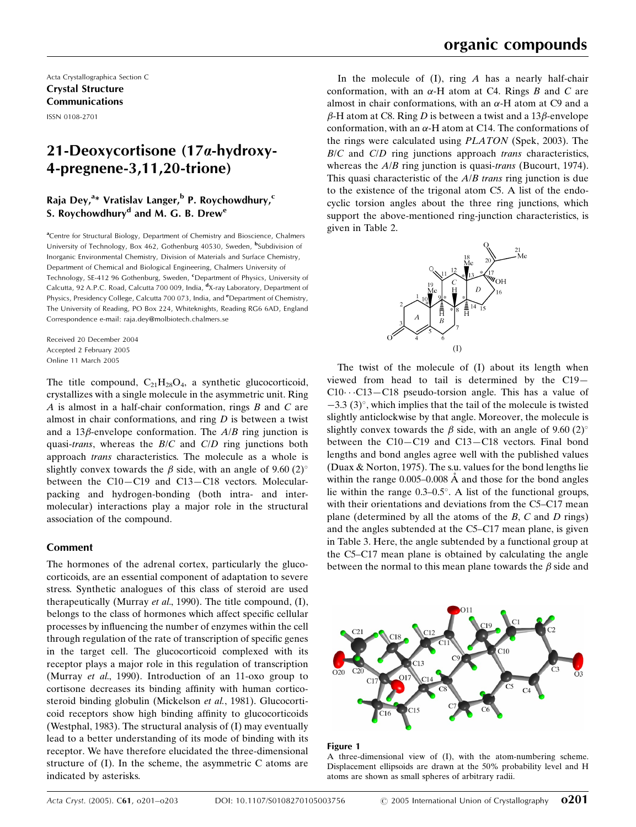Acta Crystallographica Section C Crystal Structure Communications

ISSN 0108-2701

# 21-Deoxycortisone (17a-hydroxy-4-pregnene-3,11,20-trione)

## Raja Dey,<sup>a\*</sup> Vratislav Langer,<sup>b</sup> P. Roychowdhury,<sup>c</sup> S. Roychowdhury<sup>d</sup> and M. G. B. Drew<sup>e</sup>

<sup>a</sup>Centre for Structural Biology, Department of Chemistry and Bioscience, Chalmers University of Technology, Box 462, Gothenburg 40530, Sweden, <sup>b</sup>Subdivision of Inorganic Environmental Chemistry, Division of Materials and Surface Chemistry, Department of Chemical and Biological Engineering, Chalmers University of Technology, SE-412 96 Gothenburg, Sweden, <sup>c</sup>Department of Physics, University of Calcutta, 92 A.P.C. Road, Calcutta 700 009, India, <sup>d</sup>X-ray Laboratory, Department of Physics, Presidency College, Calcutta 700 073, India, and *<sup>e</sup>Department of Chemistry*, The University of Reading, PO Box 224, Whiteknights, Reading RG6 6AD, England Correspondence e-mail: raja.dey@molbiotech.chalmers.se

Received 20 December 2004 Accepted 2 February 2005 Online 11 March 2005

The title compound,  $C_{21}H_{28}O_4$ , a synthetic glucocorticoid, crystallizes with a single molecule in the asymmetric unit. Ring A is almost in a half-chair conformation, rings  $B$  and  $C$  are almost in chair conformations, and ring  $D$  is between a twist and a 13 $\beta$ -envelope conformation. The  $A/B$  ring junction is quasi-trans, whereas the  $B/C$  and  $C/D$  ring junctions both approach trans characteristics. The molecule as a whole is slightly convex towards the  $\beta$  side, with an angle of 9.60 (2)<sup>o</sup> between the C10–C19 and C13–C18 vectors. Molecularpacking and hydrogen-bonding (both intra- and intermolecular) interactions play a major role in the structural association of the compound.

## Comment

The hormones of the adrenal cortex, particularly the glucocorticoids, are an essential component of adaptation to severe stress. Synthetic analogues of this class of steroid are used therapeutically (Murray et al., 1990). The title compound, (I), belongs to the class of hormones which affect specific cellular processes by influencing the number of enzymes within the cell through regulation of the rate of transcription of specific genes in the target cell. The glucocorticoid complexed with its receptor plays a major role in this regulation of transcription (Murray et al., 1990). Introduction of an 11-oxo group to cortisone decreases its binding affinity with human corticosteroid binding globulin (Mickelson et al., 1981). Glucocorticoid receptors show high binding affinity to glucocorticoids (Westphal, 1983). The structural analysis of (I) may eventually lead to a better understanding of its mode of binding with its receptor. We have therefore elucidated the three-dimensional structure of (I). In the scheme, the asymmetric C atoms are indicated by asterisks.

In the molecule of  $(I)$ , ring A has a nearly half-chair conformation, with an  $\alpha$ -H atom at C4. Rings B and C are almost in chair conformations, with an  $\alpha$ -H atom at C9 and a  $\beta$ -H atom at C8. Ring D is between a twist and a 13 $\beta$ -envelope conformation, with an  $\alpha$ -H atom at C14. The conformations of the rings were calculated using PLATON (Spek, 2003). The  $B/C$  and  $C/D$  ring junctions approach *trans* characteristics, whereas the *A/B* ring junction is quasi-*trans* (Bucourt, 1974). This quasi characteristic of the  $A/B$  trans ring junction is due to the existence of the trigonal atom C5. A list of the endocyclic torsion angles about the three ring junctions, which support the above-mentioned ring-junction characteristics, is given in Table 2.



The twist of the molecule of (I) about its length when viewed from head to tail is determined by the  $C19 C10 \cdots C13-C18$  pseudo-torsion angle. This has a value of  $-3.3$  (3)°, which implies that the tail of the molecule is twisted slightly anticlockwise by that angle. Moreover, the molecule is slightly convex towards the  $\beta$  side, with an angle of 9.60 (2)<sup>o</sup> between the  $C10-C19$  and  $C13-C18$  vectors. Final bond lengths and bond angles agree well with the published values (Duax & Norton, 1975). The s.u. values for the bond lengths lie within the range  $0.005-0.008$  Å and those for the bond angles lie within the range  $0.3-0.5^\circ$ . A list of the functional groups, with their orientations and deviations from the C5–C17 mean plane (determined by all the atoms of the  $B$ ,  $C$  and  $D$  rings) and the angles subtended at the C5–C17 mean plane, is given in Table 3. Here, the angle subtended by a functional group at the C5–C17 mean plane is obtained by calculating the angle between the normal to this mean plane towards the  $\beta$  side and



### Figure 1

A three-dimensional view of (I), with the atom-numbering scheme. Displacement ellipsoids are drawn at the 50% probability level and H atoms are shown as small spheres of arbitrary radii.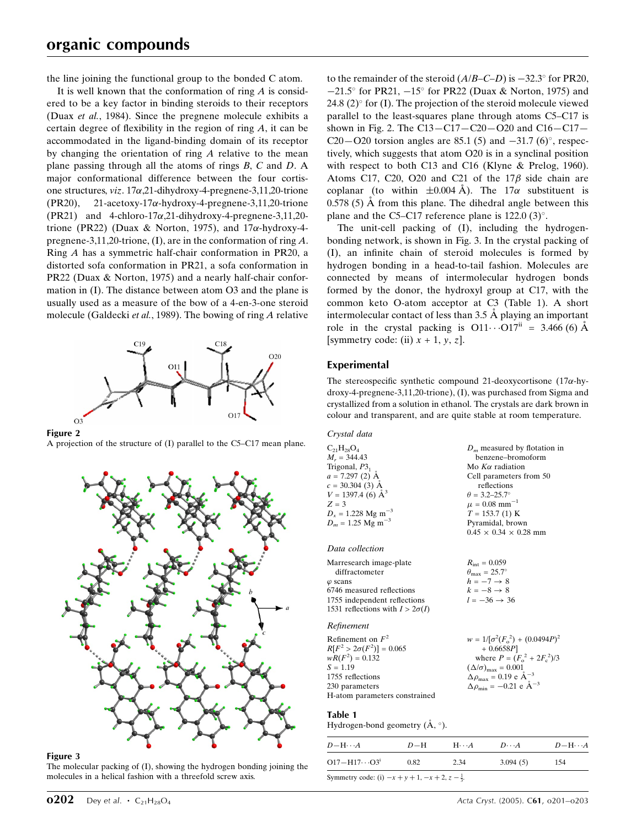the line joining the functional group to the bonded C atom.

It is well known that the conformation of ring  $\vec{A}$  is considered to be a key factor in binding steroids to their receptors (Duax et al., 1984). Since the pregnene molecule exhibits a certain degree of flexibility in the region of ring  $A$ , it can be accommodated in the ligand-binding domain of its receptor by changing the orientation of ring A relative to the mean plane passing through all the atoms of rings B, C and D. A major conformational difference between the four cortisone structures,  $viz. 17\alpha,21$ -dihydroxy-4-pregnene-3,11,20-trione  $(PR20)$ , 21-acetoxy-17 $\alpha$ -hydroxy-4-pregnene-3,11,20-trione (PR21) and 4-chloro-17 $\alpha$ ,21-dihydroxy-4-pregnene-3,11,20trione (PR22) (Duax & Norton, 1975), and  $17\alpha$ -hydroxy-4pregnene-3,11,20-trione, (I), are in the conformation of ring A. Ring A has a symmetric half-chair conformation in PR20, a distorted sofa conformation in PR21, a sofa conformation in PR22 (Duax & Norton, 1975) and a nearly half-chair conformation in (I). The distance between atom O3 and the plane is usually used as a measure of the bow of a 4-en-3-one steroid molecule (Galdecki et al., 1989). The bowing of ring A relative



Figure 2

A projection of the structure of  $(I)$  parallel to the C5–C17 mean plane.



#### Figure 3

The molecular packing of (I), showing the hydrogen bonding joining the molecules in a helical fashion with a threefold screw axis.

to the remainder of the steroid  $(A/B-C-D)$  is  $-32.3^{\circ}$  for PR20,  $-21.5^{\circ}$  for PR21,  $-15^{\circ}$  for PR22 (Duax & Norton, 1975) and 24.8 (2) $\degree$  for (I). The projection of the steroid molecule viewed parallel to the least-squares plane through atoms  $C5-C17$  is shown in Fig. 2. The  $C13 - C17 - C20 - O20$  and  $C16 - C17 -$ C20 $-$ O20 torsion angles are 85.1 (5) and  $-31.7$  (6)°, respectively, which suggests that atom O20 is in a synclinal position with respect to both C13 and C16 (Klyne & Prelog, 1960). Atoms C17, C20, O20 and C21 of the  $17\beta$  side chain are coplanar (to within  $\pm 0.004$  A). The 17 $\alpha$  substituent is  $0.578$  (5)  $\AA$  from this plane. The dihedral angle between this plane and the C5-C17 reference plane is 122.0  $(3)^\circ$ .

The unit-cell packing of (I), including the hydrogenbonding network, is shown in Fig. 3. In the crystal packing of (I), an infinite chain of steroid molecules is formed by hydrogen bonding in a head-to-tail fashion. Molecules are connected by means of intermolecular hydrogen bonds formed by the donor, the hydroxyl group at C17, with the common keto O-atom acceptor at C3 (Table 1). A short intermolecular contact of less than  $3.5 \text{ Å}$  playing an important role in the crystal packing is  $O11 \cdots O17^{ii} = 3.466 (6)$  Å [symmetry code: (ii)  $x + 1$ ,  $y$ ,  $z$ ].

## Experimental

The stereospecific synthetic compound 21-deoxycortisone (17 $\alpha$ -hydroxy-4-pregnene-3,11,20-trione), (I), was purchased from Sigma and crystallized from a solution in ethanol. The crystals are dark brown in colour and transparent, and are quite stable at room temperature.

| Crystal data                                                                                                                                                                                                        |                                                                                                                                                                                                                                                                        |
|---------------------------------------------------------------------------------------------------------------------------------------------------------------------------------------------------------------------|------------------------------------------------------------------------------------------------------------------------------------------------------------------------------------------------------------------------------------------------------------------------|
| $C_{21}H_{28}O_4$<br>$M_r = 344.43$<br>Trigonal, $P31$<br>$a = 7.297$ (2) $\AA$<br>$c = 30.304$ (3) Å<br>$V = 1397.4$ (6) $\AA^3$<br>$Z = 3$<br>$D_x = 1.228$ Mg m <sup>-3</sup><br>$D_m = 1.25$ Mg m <sup>-3</sup> | $D_m$ measured by flotation in<br>benzene-bromoform<br>Mo $K\alpha$ radiation<br>Cell parameters from 50<br>reflections<br>$\theta = 3.2 - 25.7^{\circ}$<br>$\mu = 0.08$ mm <sup>-1</sup><br>$T = 153.7(1)$ K<br>Pyramidal, brown<br>$0.45 \times 0.34 \times 0.28$ mm |
| Data collection                                                                                                                                                                                                     |                                                                                                                                                                                                                                                                        |
| Marresearch image-plate<br>diffractometer<br>$\varphi$ scans<br>6746 measured reflections<br>1755 independent reflections<br>1531 reflections with $I > 2\sigma(I)$                                                 | $R_{\rm int} = 0.059$<br>$\theta_{\rm max} = 25.7^{\circ}$<br>$h = -7 \rightarrow 8$<br>$k=-8 \rightarrow 8$<br>$l = -36 \rightarrow 36$                                                                                                                               |
| Refinement                                                                                                                                                                                                          |                                                                                                                                                                                                                                                                        |
| Refinement on $F^2$<br>$R[F^2 > 2\sigma(F^2)] = 0.065$<br>$wR(F^2) = 0.132$<br>$S = 1.19$<br>1755 reflections<br>230 parameters<br>H-atom parameters constrained                                                    | $w = 1/[\sigma^2 (F_o^2) + (0.0494P)^2]$<br>$+0.6658P$<br>where $P = (F_o^2 + 2F_e^2)/3$<br>$(\Delta/\sigma)_{\text{max}} = 0.001$<br>$\Delta \rho_{\text{max}} = 0.19 \text{ e} \text{ Å}^{-3}$<br>$\Delta \rho_{\text{min}} = -0.21$ e $\mathring{A}^{-3}$           |

## Table 1

Hydrogen-bond geometry  $(\AA, \degree)$ .

| $D - H \cdots A$                                                 | $D-H$ | $H\cdots A$ | $D\cdots A$ | $D - H \cdots A$ |
|------------------------------------------------------------------|-------|-------------|-------------|------------------|
| $O17 - H17 \cdots O3^i$                                          | 0.82  | 2.34        | 3.094(5)    | 154              |
| Symmetry code: (i) $-x + y + 1$ , $-x + 2$ , $z - \frac{1}{3}$ . |       |             |             |                  |